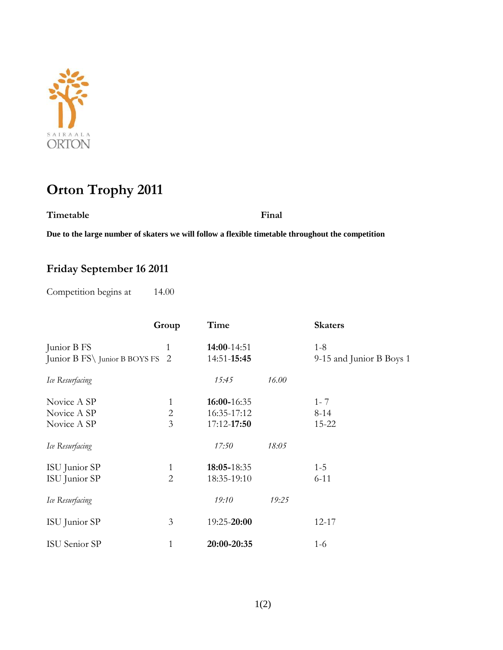

## **Orton Trophy 2011**

**Timetable Final**

**Due to the large number of skaters we will follow a flexible timetable throughout the competition** 

## **Friday September 16 2011**

Competition begins at 14.00

|                                 | Group          | Time        |       | <b>Skaters</b>           |
|---------------------------------|----------------|-------------|-------|--------------------------|
| Junior B FS                     | 1              | 14:00-14:51 |       | $1 - 8$                  |
| Junior B FS\ Junior B BOYS FS 2 |                | 14:51-15:45 |       | 9-15 and Junior B Boys 1 |
| Ice Resurfacing                 |                | 15:45       | 16.00 |                          |
| Novice A SP                     | 1              | 16:00-16:35 |       | $1 - 7$                  |
| Novice A SP                     | $\overline{2}$ | 16:35-17:12 |       | $8-14$                   |
| Novice A SP                     | 3              | 17:12-17:50 |       | 15-22                    |
| Ice Resurfacing                 |                | 17:50       | 18:05 |                          |
| ISU Junior SP                   | 1              | 18:05-18:35 |       | $1 - 5$                  |
| ISU Junior SP                   | $\overline{2}$ | 18:35-19:10 |       | $6 - 11$                 |
| Ice Resurfacing                 |                | 19:10       | 19:25 |                          |
| ISU Junior SP                   | 3              | 19:25-20:00 |       | $12 - 17$                |
| ISU Senior SP                   | 1              | 20:00-20:35 |       | $1-6$                    |